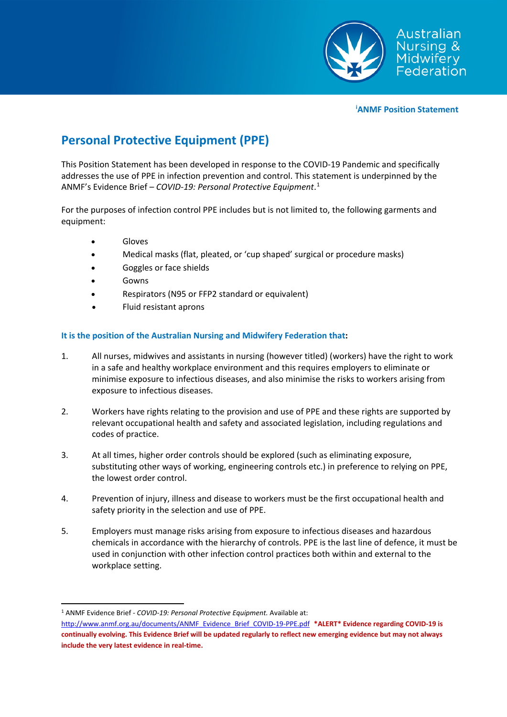

**[i](#page-2-0) ANMF Position Statement**

## **Personal Protective Equipment (PPE)**

This Position Statement has been developed in response to the COVID-19 Pandemic and specifically addresses the use of PPE in infection prevention and control. This statement is underpinned by the ANMF's Evidence Brief – *COVID-19: Personal Protective Equipment*. [1](#page-0-0)

For the purposes of infection control PPE includes but is not limited to, the following garments and equipment:

- **Gloves**
- Medical masks (flat, pleated, or 'cup shaped' surgical or procedure masks)
- Goggles or face shields
- **Gowns**
- Respirators (N95 or FFP2 standard or equivalent)
- Fluid resistant aprons

## **It is the position of the Australian Nursing and Midwifery Federation that:**

- 1. All nurses, midwives and assistants in nursing (however titled) (workers) have the right to work in a safe and healthy workplace environment and this requires employers to eliminate or minimise exposure to infectious diseases, and also minimise the risks to workers arising from exposure to infectious diseases.
- 2. Workers have rights relating to the provision and use of PPE and these rights are supported by relevant occupational health and safety and associated legislation, including regulations and codes of practice.
- 3. At all times, higher order controls should be explored (such as eliminating exposure, substituting other ways of working, engineering controls etc.) in preference to relying on PPE, the lowest order control.
- 4. Prevention of injury, illness and disease to workers must be the first occupational health and safety priority in the selection and use of PPE.
- 5. Employers must manage risks arising from exposure to infectious diseases and hazardous chemicals in accordance with the hierarchy of controls. PPE is the last line of defence, it must be used in conjunction with other infection control practices both within and external to the workplace setting.

<span id="page-0-0"></span> <sup>1</sup> ANMF Evidence Brief - *COVID-19: Personal Protective Equipment.* Available at:

[http://www.anmf.org.au/documents/ANMF\\_Evidence\\_Brief\\_COVID-19-PPE.pdf](http://www.anmf.org.au/documents/ANMF_Evidence_Brief_COVID-19-PPE.pdf) **\*ALERT\* Evidence regarding COVID-19 is continually evolving. This Evidence Brief will be updated regularly to reflect new emerging evidence but may not always include the very latest evidence in real-time.**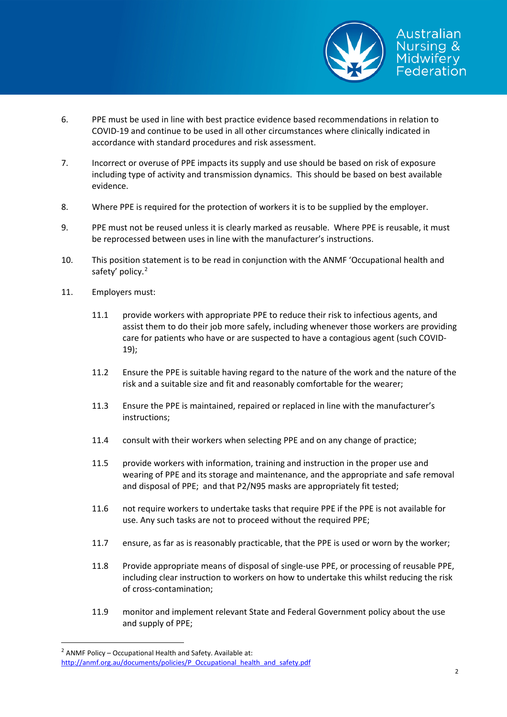

- 6. PPE must be used in line with best practice evidence based recommendations in relation to COVID-19 and continue to be used in all other circumstances where clinically indicated in accordance with standard procedures and risk assessment.
- 7. Incorrect or overuse of PPE impacts its supply and use should be based on risk of exposure including type of activity and transmission dynamics. This should be based on best available evidence.
- 8. Where PPE is required for the protection of workers it is to be supplied by the employer.
- 9. PPE must not be reused unless it is clearly marked as reusable. Where PPE is reusable, it must be reprocessed between uses in line with the manufacturer's instructions.
- 10. This position statement is to be read in conjunction with the ANMF 'Occupational health and safety' policy.<sup>[2](#page-1-0)</sup>
- 11. Employers must:
	- 11.1 provide workers with appropriate PPE to reduce their risk to infectious agents, and assist them to do their job more safely, including whenever those workers are providing care for patients who have or are suspected to have a contagious agent (such COVID-19);
	- 11.2 Ensure the PPE is suitable having regard to the nature of the work and the nature of the risk and a suitable size and fit and reasonably comfortable for the wearer;
	- 11.3 Ensure the PPE is maintained, repaired or replaced in line with the manufacturer's instructions;
	- 11.4 consult with their workers when selecting PPE and on any change of practice;
	- 11.5 provide workers with information, training and instruction in the proper use and wearing of [PPE](https://www.safeworkaustralia.gov.au/glossary#PPE) and its storage and maintenance, and the appropriate and safe removal and disposal of PPE; and that P2/N95 masks are appropriately fit tested;
	- 11.6 not require workers to undertake tasks that require PPE if the PPE is not available for use. Any such tasks are not to proceed without the required PPE;
	- 11.7 ensure, as far as is reasonably practicable, that the PPE is used or worn by the worker;
	- 11.8 Provide appropriate means of disposal of single-use PPE, or processing of reusable PPE, including clear instruction to workers on how to undertake this whilst reducing the risk of cross-contamination;
	- 11.9 monitor and implement relevant State and Federal Government policy about the use and supply of PPE;

<span id="page-1-0"></span> $2$  ANMF Policy – Occupational Health and Safety. Available at:

[http://anmf.org.au/documents/policies/P\\_Occupational\\_health\\_and\\_safety.pdf](http://anmf.org.au/documents/policies/P_Occupational_health_and_safety.pdf)